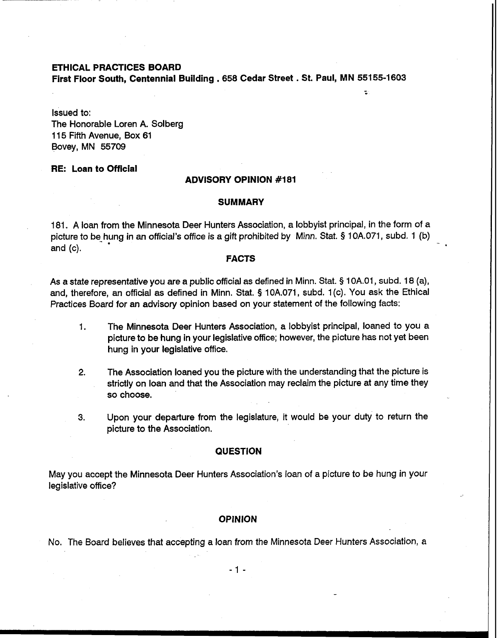# **ETHICAL PRACTICES BOARD**

**First Floor South, Centennial Building** . **658 Cedar Street** . **St. Paul, MN 55155-1603** 

÷.

Issued to: The Honorable Loren A. Solberg 1 15 Fifth Avenue, Box 61 Bovey, MN 55709

## **RE: Loan to Official**

# **ADVISORY OPINION #181**

#### **SUMMARY**

181. A loan from the Minnesota Deer Hunters Association, a lobbyist principal, in the form of a picture to be<sub>-</sub>hung in an official's office is a gift prohibited by Minn. Stat. § 10A.071, subd. 1 (b) and (c).

### **FACTS**

As a state representative you are a public official as defined in Minn. Stat. § 1 OA.O1, subd. 18 (a), and, therefore, an official as defined in Minn. Stat. **9** 10A.071, subd. 1 (c). You ask the Ethical Practices Board for an advisory opinion based on your statement of the following facts:

- 1. The Minnesota Deer Hunters Association, a lobbyist principal, loaned to you a picture to be hung in your legislative office; however, the picture has not yet been hung in your legislative office.
- **2.** The Association loaned you the picture with the understanding that the picture is strictly on loan and that the Association may reclaim the picture at any time they so choose.
- **3.** Upon your departure from the legislature, it would be your duty to return the picture to the Association.

### **QUESTION**

May you accept the Minnesota Deer Hunters Association's loan of a picture to be hung in your legislative office?

#### **OPINION**

No. The Board believes that accepting a loan from the Minnesota Deer Hunters Association, a

-1 -